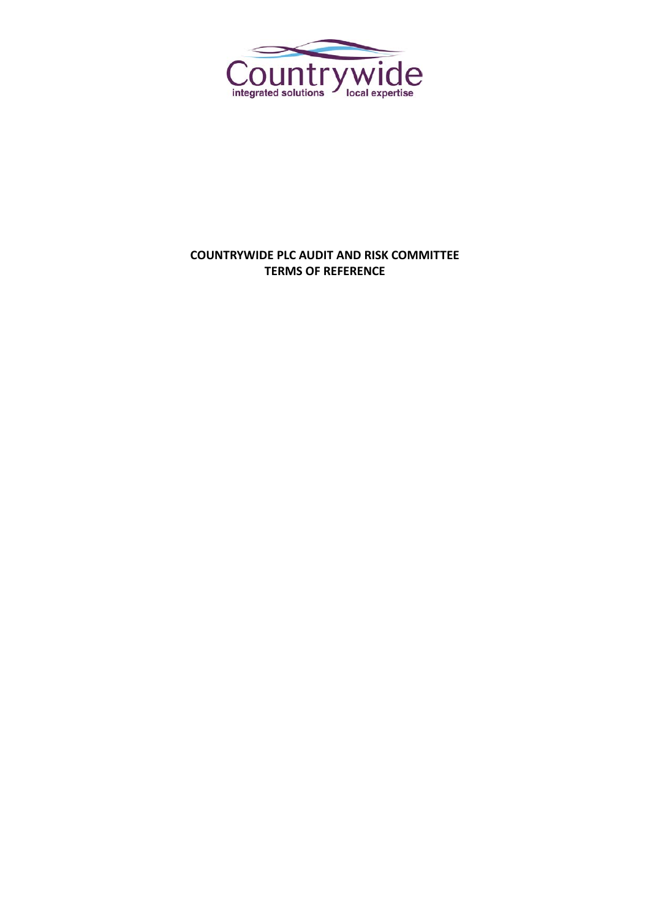

# **COUNTRYWIDE PLC AUDIT AND RISK COMMITTEE TERMS OF REFERENCE**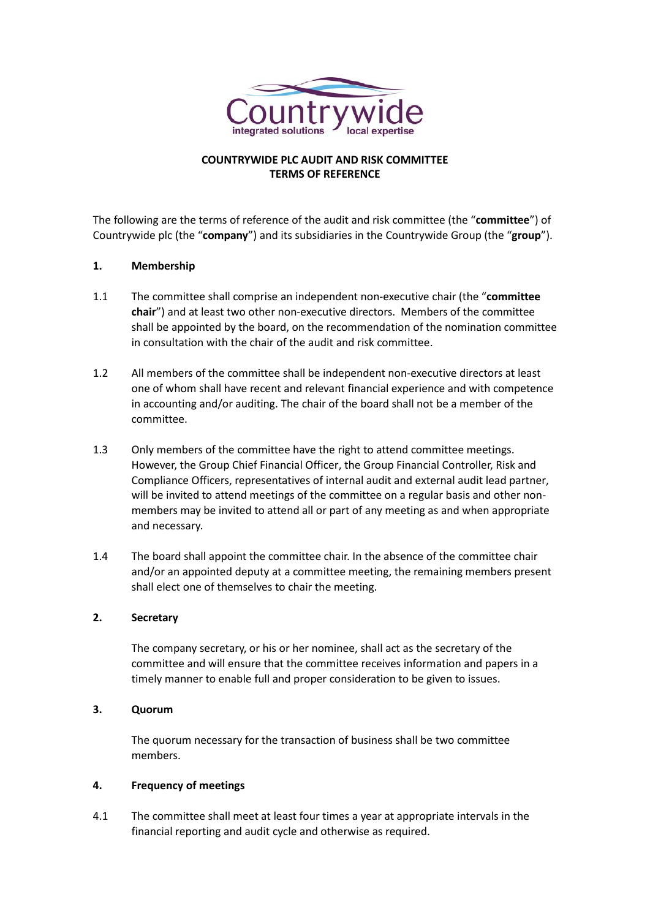

# **COUNTRYWIDE PLC AUDIT AND RISK COMMITTEE TERMS OF REFERENCE**

The following are the terms of reference of the audit and risk committee (the "**committee**") of Countrywide plc (the "**company**") and its subsidiaries in the Countrywide Group (the "**group**").

# **1. Membership**

- 1.1 The committee shall comprise an independent non-executive chair (the "**committee chair**") and at least two other non-executive directors. Members of the committee shall be appointed by the board, on the recommendation of the nomination committee in consultation with the chair of the audit and risk committee.
- 1.2 All members of the committee shall be independent non-executive directors at least one of whom shall have recent and relevant financial experience and with competence in accounting and/or auditing. The chair of the board shall not be a member of the committee.
- 1.3 Only members of the committee have the right to attend committee meetings. However, the Group Chief Financial Officer, the Group Financial Controller, Risk and Compliance Officers, representatives of internal audit and external audit lead partner, will be invited to attend meetings of the committee on a regular basis and other nonmembers may be invited to attend all or part of any meeting as and when appropriate and necessary.
- 1.4 The board shall appoint the committee chair. In the absence of the committee chair and/or an appointed deputy at a committee meeting, the remaining members present shall elect one of themselves to chair the meeting.

### **2. Secretary**

The company secretary, or his or her nominee, shall act as the secretary of the committee and will ensure that the committee receives information and papers in a timely manner to enable full and proper consideration to be given to issues.

### **3. Quorum**

The quorum necessary for the transaction of business shall be two committee members.

### **4. Frequency of meetings**

4.1 The committee shall meet at least four times a year at appropriate intervals in the financial reporting and audit cycle and otherwise as required.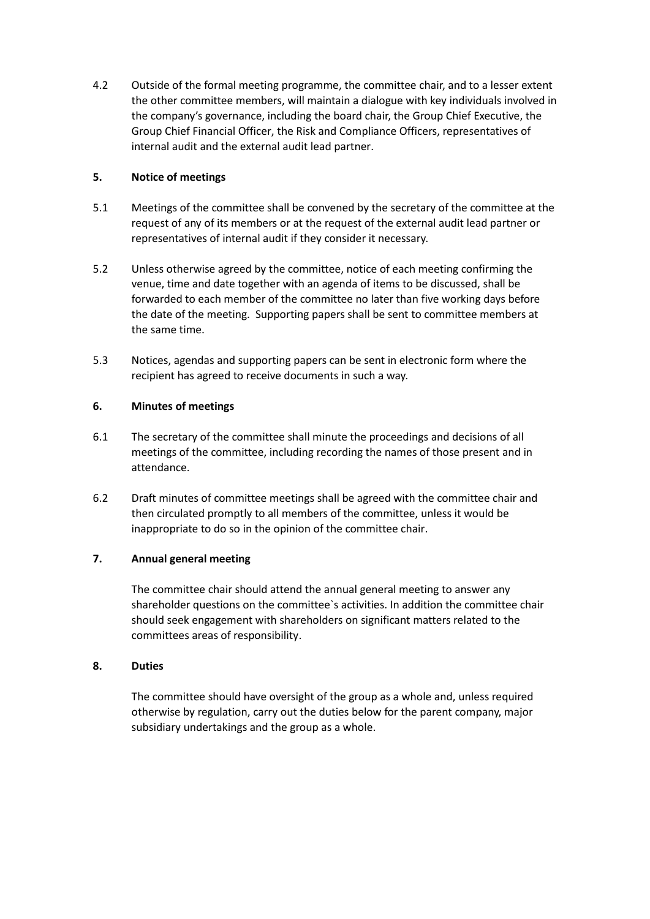4.2 Outside of the formal meeting programme, the committee chair, and to a lesser extent the other committee members, will maintain a dialogue with key individuals involved in the company's governance, including the board chair, the Group Chief Executive, the Group Chief Financial Officer, the Risk and Compliance Officers, representatives of internal audit and the external audit lead partner.

# **5. Notice of meetings**

- 5.1 Meetings of the committee shall be convened by the secretary of the committee at the request of any of its members or at the request of the external audit lead partner or representatives of internal audit if they consider it necessary.
- 5.2 Unless otherwise agreed by the committee, notice of each meeting confirming the venue, time and date together with an agenda of items to be discussed, shall be forwarded to each member of the committee no later than five working days before the date of the meeting. Supporting papers shall be sent to committee members at the same time.
- 5.3 Notices, agendas and supporting papers can be sent in electronic form where the recipient has agreed to receive documents in such a way.

# **6. Minutes of meetings**

- 6.1 The secretary of the committee shall minute the proceedings and decisions of all meetings of the committee, including recording the names of those present and in attendance.
- 6.2 Draft minutes of committee meetings shall be agreed with the committee chair and then circulated promptly to all members of the committee, unless it would be inappropriate to do so in the opinion of the committee chair.

# **7. Annual general meeting**

The committee chair should attend the annual general meeting to answer any shareholder questions on the committee`s activities. In addition the committee chair should seek engagement with shareholders on significant matters related to the committees areas of responsibility.

# **8. Duties**

The committee should have oversight of the group as a whole and, unless required otherwise by regulation, carry out the duties below for the parent company, major subsidiary undertakings and the group as a whole.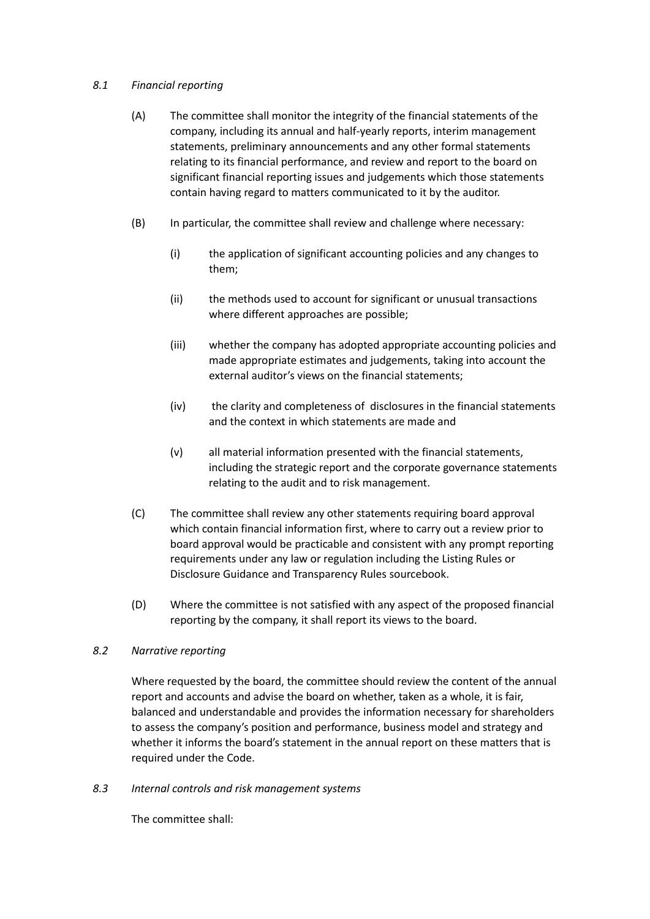# *8.1 Financial reporting*

- (A) The committee shall monitor the integrity of the financial statements of the company, including its annual and half-yearly reports, interim management statements, preliminary announcements and any other formal statements relating to its financial performance, and review and report to the board on significant financial reporting issues and judgements which those statements contain having regard to matters communicated to it by the auditor.
- (B) In particular, the committee shall review and challenge where necessary:
	- (i) the application of significant accounting policies and any changes to them;
	- (ii) the methods used to account for significant or unusual transactions where different approaches are possible;
	- (iii) whether the company has adopted appropriate accounting policies and made appropriate estimates and judgements, taking into account the external auditor's views on the financial statements;
	- (iv) the clarity and completeness of disclosures in the financial statements and the context in which statements are made and
	- (v) all material information presented with the financial statements, including the strategic report and the corporate governance statements relating to the audit and to risk management.
- (C) The committee shall review any other statements requiring board approval which contain financial information first, where to carry out a review prior to board approval would be practicable and consistent with any prompt reporting requirements under any law or regulation including the Listing Rules or Disclosure Guidance and Transparency Rules sourcebook.
- (D) Where the committee is not satisfied with any aspect of the proposed financial reporting by the company, it shall report its views to the board.

### *8.2 Narrative reporting*

Where requested by the board, the committee should review the content of the annual report and accounts and advise the board on whether, taken as a whole, it is fair, balanced and understandable and provides the information necessary for shareholders to assess the company's position and performance, business model and strategy and whether it informs the board's statement in the annual report on these matters that is required under the Code.

*8.3 Internal controls and risk management systems*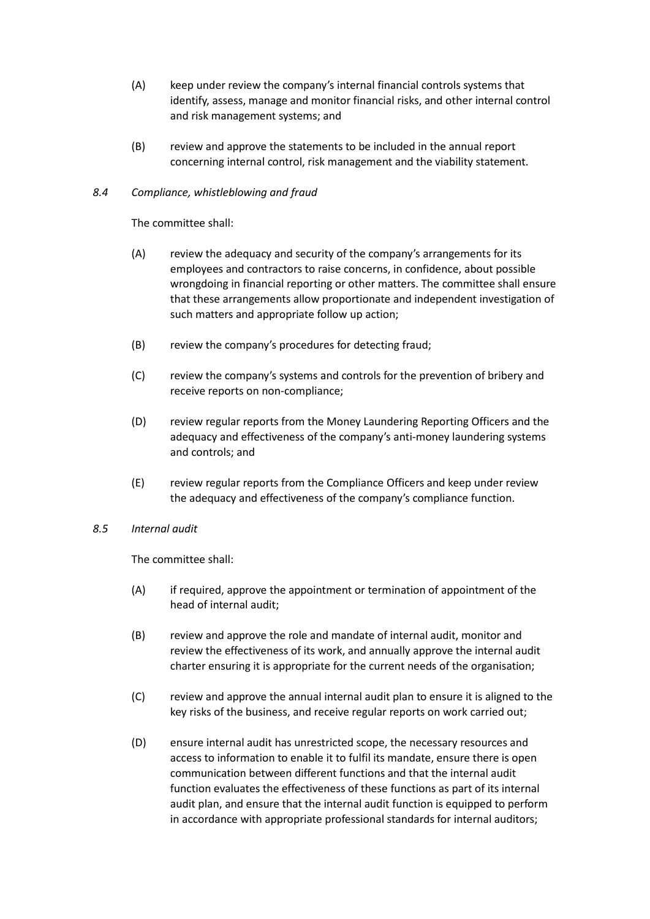- (A) keep under review the company's internal financial controls systems that identify, assess, manage and monitor financial risks, and other internal control and risk management systems; and
- (B) review and approve the statements to be included in the annual report concerning internal control, risk management and the viability statement.

### *8.4 Compliance, whistleblowing and fraud*

The committee shall:

- (A) review the adequacy and security of the company's arrangements for its employees and contractors to raise concerns, in confidence, about possible wrongdoing in financial reporting or other matters. The committee shall ensure that these arrangements allow proportionate and independent investigation of such matters and appropriate follow up action;
- (B) review the company's procedures for detecting fraud;
- (C) review the company's systems and controls for the prevention of bribery and receive reports on non-compliance;
- (D) review regular reports from the Money Laundering Reporting Officers and the adequacy and effectiveness of the company's anti-money laundering systems and controls; and
- (E) review regular reports from the Compliance Officers and keep under review the adequacy and effectiveness of the company's compliance function.

### *8.5 Internal audit*

- (A) if required, approve the appointment or termination of appointment of the head of internal audit;
- (B) review and approve the role and mandate of internal audit, monitor and review the effectiveness of its work, and annually approve the internal audit charter ensuring it is appropriate for the current needs of the organisation;
- (C) review and approve the annual internal audit plan to ensure it is aligned to the key risks of the business, and receive regular reports on work carried out;
- (D) ensure internal audit has unrestricted scope, the necessary resources and access to information to enable it to fulfil its mandate, ensure there is open communication between different functions and that the internal audit function evaluates the effectiveness of these functions as part of its internal audit plan, and ensure that the internal audit function is equipped to perform in accordance with appropriate professional standards for internal auditors;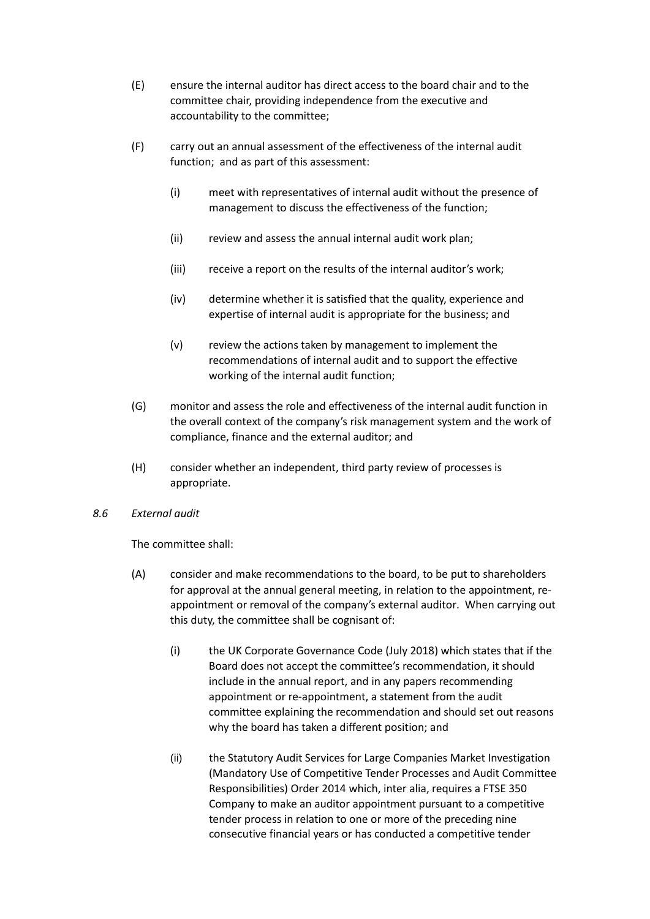- (E) ensure the internal auditor has direct access to the board chair and to the committee chair, providing independence from the executive and accountability to the committee;
- (F) carry out an annual assessment of the effectiveness of the internal audit function; and as part of this assessment:
	- (i) meet with representatives of internal audit without the presence of management to discuss the effectiveness of the function;
	- (ii) review and assess the annual internal audit work plan;
	- (iii) receive a report on the results of the internal auditor's work;
	- (iv) determine whether it is satisfied that the quality, experience and expertise of internal audit is appropriate for the business; and
	- (v) review the actions taken by management to implement the recommendations of internal audit and to support the effective working of the internal audit function;
- (G) monitor and assess the role and effectiveness of the internal audit function in the overall context of the company's risk management system and the work of compliance, finance and the external auditor; and
- (H) consider whether an independent, third party review of processes is appropriate.

### *8.6 External audit*

- (A) consider and make recommendations to the board, to be put to shareholders for approval at the annual general meeting, in relation to the appointment, reappointment or removal of the company's external auditor. When carrying out this duty, the committee shall be cognisant of:
	- (i) the UK Corporate Governance Code (July 2018) which states that if the Board does not accept the committee's recommendation, it should include in the annual report, and in any papers recommending appointment or re-appointment, a statement from the audit committee explaining the recommendation and should set out reasons why the board has taken a different position; and
	- (ii) the Statutory Audit Services for Large Companies Market Investigation (Mandatory Use of Competitive Tender Processes and Audit Committee Responsibilities) Order 2014 which, inter alia, requires a FTSE 350 Company to make an auditor appointment pursuant to a competitive tender process in relation to one or more of the preceding nine consecutive financial years or has conducted a competitive tender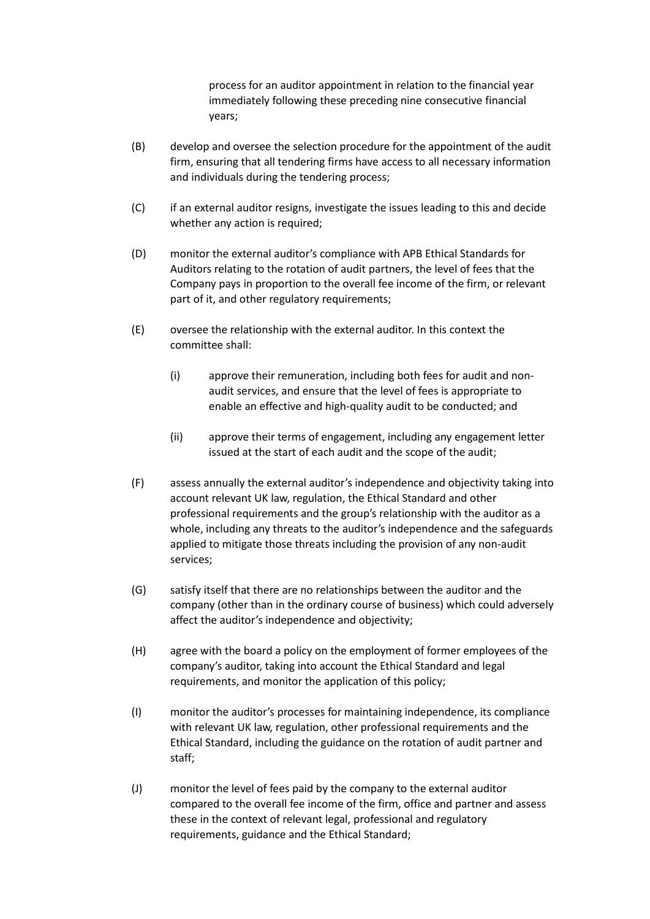process for an auditor appointment in relation to the financial year immediately following these preceding nine consecutive financial years;

- (B) develop and oversee the selection procedure for the appointment of the audit firm, ensuring that all tendering firms have access to all necessary information and individuals during the tendering process;
- (C) if an external auditor resigns, investigate the issues leading to this and decide whether any action is required;
- (D) monitor the external auditor's compliance with APB Ethical Standards for Auditors relating to the rotation of audit partners, the level of fees that the Company pays in proportion to the overall fee income of the firm, or relevant part of it, and other regulatory requirements;
- (E) oversee the relationship with the external auditor. In this context the committee shall:
	- (i) approve their remuneration, including both fees for audit and nonaudit services, and ensure that the level of fees is appropriate to enable an effective and high-quality audit to be conducted; and
	- (ii) approve their terms of engagement, including any engagement letter issued at the start of each audit and the scope of the audit;
- (F) assess annually the external auditor's independence and objectivity taking into account relevant UK law, regulation, the Ethical Standard and other professional requirements and the group's relationship with the auditor as a whole, including any threats to the auditor's independence and the safeguards applied to mitigate those threats including the provision of any non-audit services;
- (G) satisfy itself that there are no relationships between the auditor and the company (other than in the ordinary course of business) which could adversely affect the auditor's independence and objectivity;
- (H) agree with the board a policy on the employment of former employees of the company's auditor, taking into account the Ethical Standard and legal requirements, and monitor the application of this policy;
- (I) monitor the auditor's processes for maintaining independence, its compliance with relevant UK law, regulation, other professional requirements and the Ethical Standard, including the guidance on the rotation of audit partner and staff;
- (J) monitor the level of fees paid by the company to the external auditor compared to the overall fee income of the firm, office and partner and assess these in the context of relevant legal, professional and regulatory requirements, guidance and the Ethical Standard;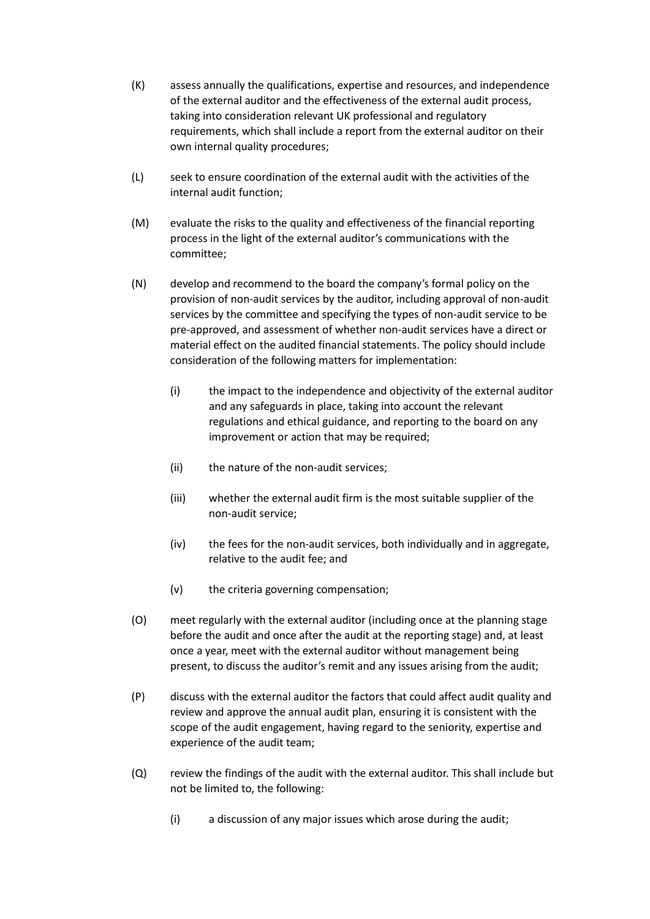- (K) assess annually the qualifications, expertise and resources, and independence of the external auditor and the effectiveness of the external audit process, taking into consideration relevant UK professional and regulatory requirements, which shall include a report from the external auditor on their own internal quality procedures;
- (L) seek to ensure coordination of the external audit with the activities of the internal audit function;
- (M) evaluate the risks to the quality and effectiveness of the financial reporting process in the light of the external auditor's communications with the committee;
- (N) develop and recommend to the board the company's formal policy on the provision of non-audit services by the auditor, including approval of non-audit services by the committee and specifying the types of non-audit service to be pre-approved, and assessment of whether non-audit services have a direct or material effect on the audited financial statements. The policy should include consideration of the following matters for implementation:
	- (i) the impact to the independence and objectivity of the external auditor and any safeguards in place, taking into account the relevant regulations and ethical guidance, and reporting to the board on any improvement or action that may be required;
	- (ii) the nature of the non-audit services;
	- (iii) whether the external audit firm is the most suitable supplier of the non-audit service;
	- (iv) the fees for the non-audit services, both individually and in aggregate, relative to the audit fee; and
	- (v) the criteria governing compensation;
- (O) meet regularly with the external auditor (including once at the planning stage before the audit and once after the audit at the reporting stage) and, at least once a year, meet with the external auditor without management being present, to discuss the auditor's remit and any issues arising from the audit;
- (P) discuss with the external auditor the factors that could affect audit quality and review and approve the annual audit plan, ensuring it is consistent with the scope of the audit engagement, having regard to the seniority, expertise and experience of the audit team;
- (Q) review the findings of the audit with the external auditor. This shall include but not be limited to, the following:
	- (i) a discussion of any major issues which arose during the audit;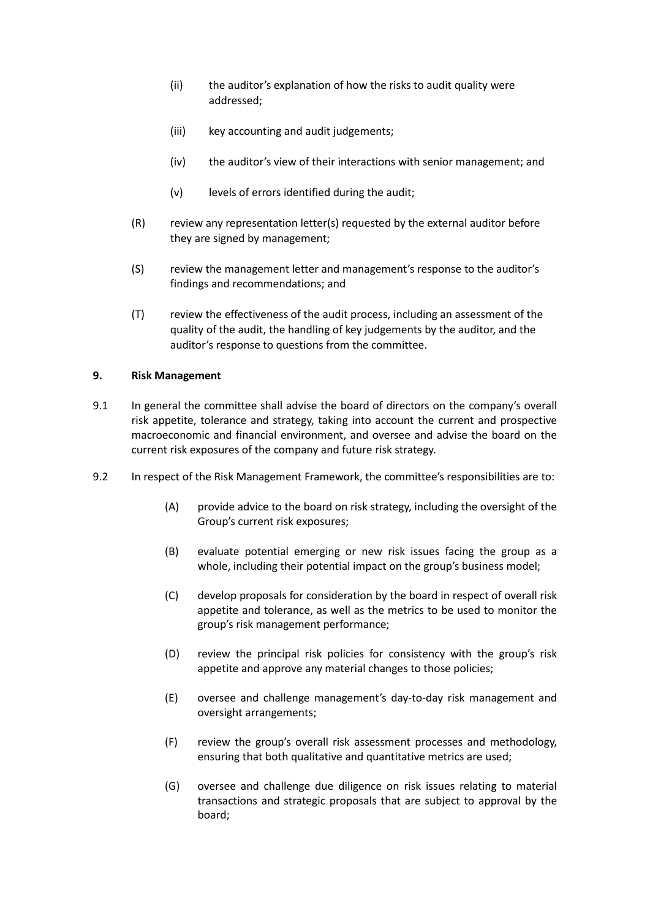- (ii) the auditor's explanation of how the risks to audit quality were addressed;
- (iii) key accounting and audit judgements;
- (iv) the auditor's view of their interactions with senior management; and
- (v) levels of errors identified during the audit;
- (R) review any representation letter(s) requested by the external auditor before they are signed by management;
- (S) review the management letter and management's response to the auditor's findings and recommendations; and
- (T) review the effectiveness of the audit process, including an assessment of the quality of the audit, the handling of key judgements by the auditor, and the auditor's response to questions from the committee.

### **9. Risk Management**

- 9.1 In general the committee shall advise the board of directors on the company's overall risk appetite, tolerance and strategy, taking into account the current and prospective macroeconomic and financial environment, and oversee and advise the board on the current risk exposures of the company and future risk strategy.
- 9.2 In respect of the Risk Management Framework, the committee's responsibilities are to:
	- (A) provide advice to the board on risk strategy, including the oversight of the Group's current risk exposures;
	- (B) evaluate potential emerging or new risk issues facing the group as a whole, including their potential impact on the group's business model;
	- (C) develop proposals for consideration by the board in respect of overall risk appetite and tolerance, as well as the metrics to be used to monitor the group's risk management performance;
	- (D) review the principal risk policies for consistency with the group's risk appetite and approve any material changes to those policies;
	- (E) oversee and challenge management's day-to-day risk management and oversight arrangements;
	- (F) review the group's overall risk assessment processes and methodology, ensuring that both qualitative and quantitative metrics are used;
	- (G) oversee and challenge due diligence on risk issues relating to material transactions and strategic proposals that are subject to approval by the board;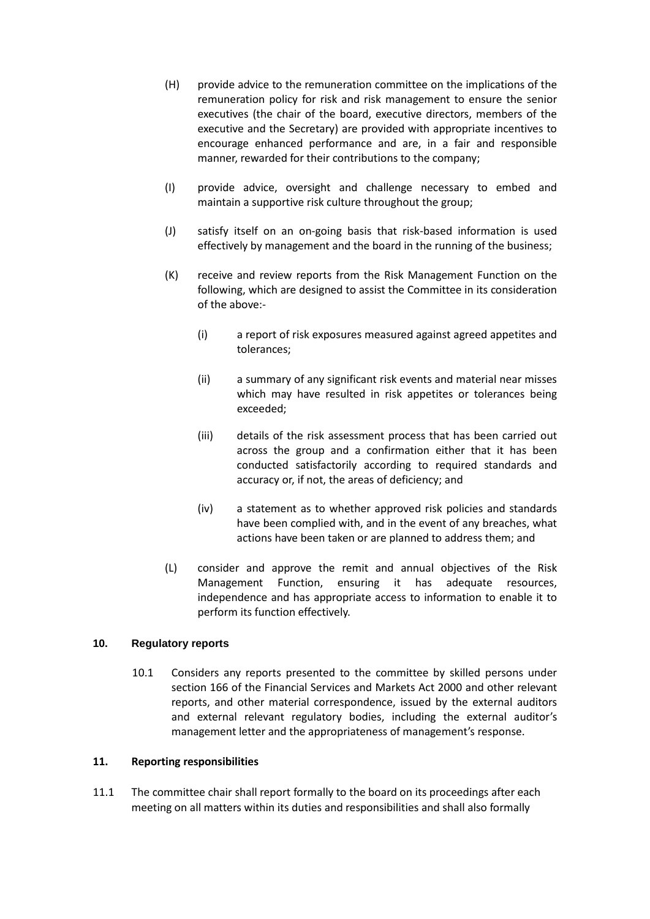- (H) provide advice to the remuneration committee on the implications of the remuneration policy for risk and risk management to ensure the senior executives (the chair of the board, executive directors, members of the executive and the Secretary) are provided with appropriate incentives to encourage enhanced performance and are, in a fair and responsible manner, rewarded for their contributions to the company;
- (I) provide advice, oversight and challenge necessary to embed and maintain a supportive risk culture throughout the group;
- (J) satisfy itself on an on-going basis that risk-based information is used effectively by management and the board in the running of the business;
- (K) receive and review reports from the Risk Management Function on the following, which are designed to assist the Committee in its consideration of the above:-
	- (i) a report of risk exposures measured against agreed appetites and tolerances;
	- (ii) a summary of any significant risk events and material near misses which may have resulted in risk appetites or tolerances being exceeded;
	- (iii) details of the risk assessment process that has been carried out across the group and a confirmation either that it has been conducted satisfactorily according to required standards and accuracy or, if not, the areas of deficiency; and
	- (iv) a statement as to whether approved risk policies and standards have been complied with, and in the event of any breaches, what actions have been taken or are planned to address them; and
- (L) consider and approve the remit and annual objectives of the Risk Management Function, ensuring it has adequate resources, independence and has appropriate access to information to enable it to perform its function effectively.

### **10. Regulatory reports**

10.1 Considers any reports presented to the committee by skilled persons under section 166 of the Financial Services and Markets Act 2000 and other relevant reports, and other material correspondence, issued by the external auditors and external relevant regulatory bodies, including the external auditor's management letter and the appropriateness of management's response.

### **11. Reporting responsibilities**

11.1 The committee chair shall report formally to the board on its proceedings after each meeting on all matters within its duties and responsibilities and shall also formally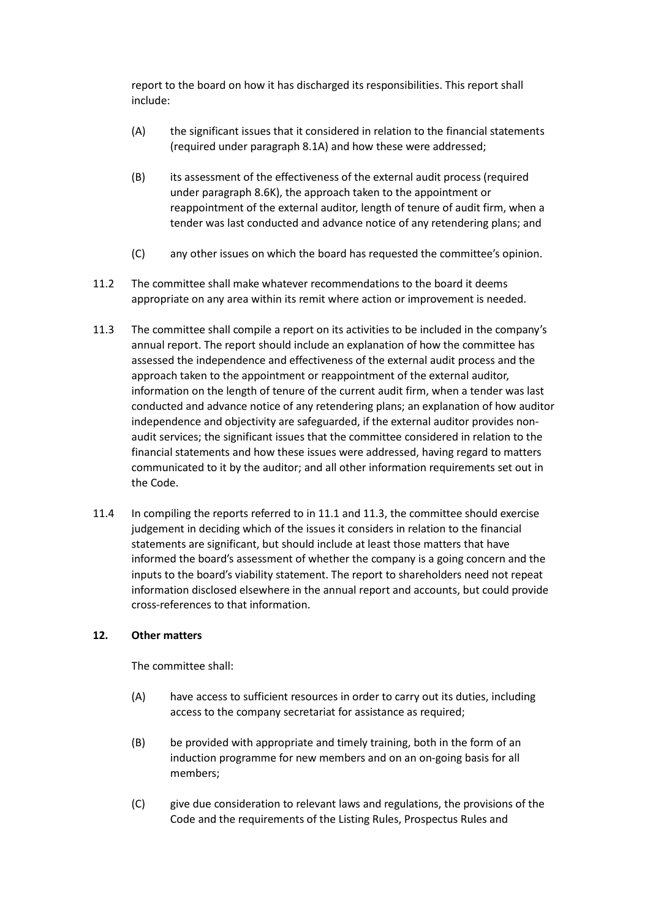report to the board on how it has discharged its responsibilities. This report shall include:

- (A) the significant issues that it considered in relation to the financial statements (required under paragraph 8.1A) and how these were addressed;
- (B) its assessment of the effectiveness of the external audit process (required under paragraph 8.6K), the approach taken to the appointment or reappointment of the external auditor, length of tenure of audit firm, when a tender was last conducted and advance notice of any retendering plans; and
- (C) any other issues on which the board has requested the committee's opinion.
- 11.2 The committee shall make whatever recommendations to the board it deems appropriate on any area within its remit where action or improvement is needed.
- 11.3 The committee shall compile a report on its activities to be included in the company's annual report. The report should include an explanation of how the committee has assessed the independence and effectiveness of the external audit process and the approach taken to the appointment or reappointment of the external auditor, information on the length of tenure of the current audit firm, when a tender was last conducted and advance notice of any retendering plans; an explanation of how auditor independence and objectivity are safeguarded, if the external auditor provides nonaudit services; the significant issues that the committee considered in relation to the financial statements and how these issues were addressed, having regard to matters communicated to it by the auditor; and all other information requirements set out in the Code.
- 11.4 In compiling the reports referred to in 11.1 and 11.3, the committee should exercise judgement in deciding which of the issues it considers in relation to the financial statements are significant, but should include at least those matters that have informed the board's assessment of whether the company is a going concern and the inputs to the board's viability statement. The report to shareholders need not repeat information disclosed elsewhere in the annual report and accounts, but could provide cross-references to that information.

### **12. Other matters**

- (A) have access to sufficient resources in order to carry out its duties, including access to the company secretariat for assistance as required;
- (B) be provided with appropriate and timely training, both in the form of an induction programme for new members and on an on-going basis for all members;
- (C) give due consideration to relevant laws and regulations, the provisions of the Code and the requirements of the Listing Rules, Prospectus Rules and